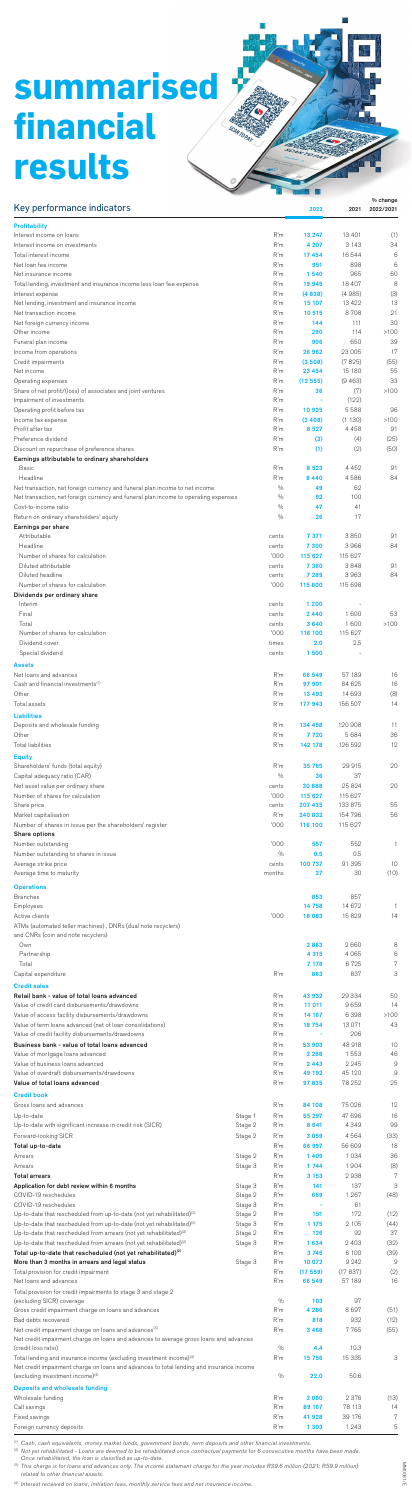# **summarised financial results**

| Key performance indicators                                                                                                                                            |                    |                                | 2022               | 2021              | % change<br>2022/2021 |
|-----------------------------------------------------------------------------------------------------------------------------------------------------------------------|--------------------|--------------------------------|--------------------|-------------------|-----------------------|
| <b>Profitability</b><br>Interest income on loans                                                                                                                      |                    | R'm                            | 13 247             | 13 4 01           | (1)                   |
| Interest income on investments<br>Total interest income                                                                                                               |                    | R'm<br>R'm                     | 4 207<br>17454     | 3 1 4 3<br>16544  | 34<br>6               |
| Net loan fee income                                                                                                                                                   |                    | R'm                            | 951                | 898               | 6                     |
| Net insurance income<br>Total lending, investment and insurance income less loan fee expense                                                                          |                    | R'm<br>R'm                     | 1540<br>19 945     | 965<br>18 407     | 60<br>8               |
| Interest expense                                                                                                                                                      |                    | R'm<br>R'm                     | (4838)             | (4985)<br>13 4 22 | (3)<br>13             |
| Net lending, investment and insurance income<br>Net transaction income                                                                                                |                    | R'm                            | 15 107<br>10515    | 8708              | 21                    |
| Net foreign currency income<br>Other income                                                                                                                           |                    | R'm<br>R'm                     | 144<br>290         | 111<br>114        | 30<br>>100            |
| Funeral plan income                                                                                                                                                   |                    | R'm                            | 906                | 650               | 39                    |
| Income from operations<br>Credit impairments                                                                                                                          |                    | R'm<br>R'm                     | 26 962<br>(3508)   | 23 005<br>(7825)  | 17<br>(55)            |
| Net income                                                                                                                                                            |                    | R'm                            | 23 4 54            | 15 180            | 55<br>33              |
| Operating expenses<br>Share of net profit/(loss) of associates and joint ventures                                                                                     |                    | R'm<br>R'm                     | (12555)<br>36      | (9463)<br>(7)     | >100                  |
| Impairment of investments<br>Operating profit before tax                                                                                                              |                    | R'm<br>R'm                     | ×,<br>10 935       | (122)<br>5588     | 96                    |
| Income tax expense                                                                                                                                                    |                    | R'm                            | (2408)             | (1130)            | >100                  |
| Profit after tax<br>Preference dividend                                                                                                                               |                    | R'm<br>R'm                     | 8527<br>(3)        | 4 4 5 8<br>(4)    | 91<br>(25)            |
| Discount on repurchase of preference shares<br>Earnings attributable to ordinary shareholders                                                                         |                    | R'm                            | (1)                | (2)               | (50)                  |
| <b>Basic</b>                                                                                                                                                          |                    | R'm                            | 8523               | 4452              | 91                    |
| Headline<br>Net transaction, net foreign currency and funeral plan income to net income                                                                               |                    | R'm<br>$\frac{0}{0}$           | 8440<br>49         | 4586<br>62        | 84                    |
| Net transaction, net foreign currency and funeral plan income to operating expenses<br>Cost-to-income ratio                                                           |                    | $\frac{0}{0}$<br>$\frac{0}{0}$ | 92<br>47           | 100<br>41         |                       |
| Return on ordinary shareholders' equity                                                                                                                               |                    | $\frac{0}{0}$                  | 26                 | 17                |                       |
| Earnings per share<br>Attributable                                                                                                                                    |                    | cents                          | 7 3 7 1            | 3850              | 91                    |
| Headline                                                                                                                                                              |                    | cents                          | 7 300              | 3966              | 84                    |
| Number of shares for calculation<br>Diluted attributable                                                                                                              |                    | '000<br>cents                  | 115 627<br>7 3 6 0 | 115 627<br>3848   | 91                    |
| Diluted headline<br>Number of shares for calculation                                                                                                                  |                    | cents<br>'000                  | 7 289<br>115 800   | 3963<br>115 698   | 84                    |
| Dividends per ordinary share                                                                                                                                          |                    |                                |                    |                   |                       |
| Interim<br>Final                                                                                                                                                      |                    | cents<br>cents                 | 1 200<br>2440      | 1600              | 53                    |
| Total                                                                                                                                                                 |                    | cents                          | 3640               | 1600              | >100                  |
| Number of shares for calculation<br>Dividend cover                                                                                                                    |                    | '000<br>times                  | 116 100<br>2.0     | 115 627<br>2.5    |                       |
| Special dividend                                                                                                                                                      |                    | cents                          | 1500               |                   |                       |
| <b>Assets</b><br>Net loans and advances                                                                                                                               |                    | R'm                            | 66 549             | 57 189            | 16                    |
| Cash and financial investments <sup>(1)</sup><br>Other                                                                                                                |                    | R'm<br>R'm                     | 97 901<br>13 4 9 3 | 84 6 25<br>14 693 | 16<br>(8)             |
| Total assets                                                                                                                                                          |                    | R'm                            | 177943             | 156 507           | 14                    |
| <b>Liabilities</b><br>Deposits and wholesale funding                                                                                                                  |                    | R'm                            | 134 458            | 120 908           | 11                    |
| Other                                                                                                                                                                 |                    | R'm                            | 7720               | 5684              | 36                    |
| <b>Total liabilities</b><br><b>Equity</b>                                                                                                                             |                    | R'm                            | 142 178            | 126 592           | 12                    |
| Shareholders' funds (total equity)                                                                                                                                    |                    | R'm                            | 35 765             | 29915             | 20                    |
| Capital adequacy ratio (CAR)<br>Net asset value per ordinary share                                                                                                    |                    | $\%$<br>cents                  | 36<br>30888        | 37<br>25 8 24     | 20                    |
| Number of shares for calculation                                                                                                                                      |                    | '000                           | 115 627            | 115 627           |                       |
| Share price<br>Market capitalisation                                                                                                                                  |                    | cents<br>R'm                   | 207 435<br>240832  | 133 875<br>154796 | 55<br>56              |
| Number of shares in issue per the shareholders' register                                                                                                              |                    | '000                           | 116 100            | 115 627           |                       |
| Share options<br>Number outstanding                                                                                                                                   |                    | '000                           | 557                | 552               | 1                     |
| Number outstanding to shares in issue<br>Average strike price                                                                                                         |                    | $\frac{0}{0}$<br>cents         | 0.5<br>100 737     | 0.5<br>91 395     | 10                    |
| Average time to maturity                                                                                                                                              |                    | months                         | 27                 | 30                | (10)                  |
| <b>Operations</b><br><b>Branches</b>                                                                                                                                  |                    |                                | 853                | 857               |                       |
| Employees                                                                                                                                                             |                    |                                | 14758              | 14 672            | 1                     |
| Active clients<br>ATMs (automated teller machines), DNRs (dual note recyclers)                                                                                        |                    | '000                           | 18 083             | 15829             | 14                    |
| and CNRs (coin and note recyclers)<br>Own                                                                                                                             |                    |                                |                    | 2660              | 8                     |
| Partnership                                                                                                                                                           |                    |                                | 2863<br>4 3 1 5    | 4065              | 6                     |
| Total<br>Capital expenditure                                                                                                                                          |                    | R'm                            | 7 178<br>863       | 6725<br>837       | 7<br>3                |
| <b>Credit sales</b>                                                                                                                                                   |                    |                                |                    |                   |                       |
| Retail bank - value of total loans advanced<br>Value of credit card disbursements/drawdowns                                                                           |                    | R'm<br>R'm                     | 43 932<br>11 011   | 29 334<br>9659    | 50<br>14              |
| Value of access facility disbursements/drawdowns                                                                                                                      |                    | R'm                            | 14 167             | 6398              | >100                  |
| Value of term loans advanced (net of loan consolidations)<br>Value of credit facility disbursements/drawdowns                                                         |                    | R'm<br>R'm                     | 18754              | 13 0 71<br>206    | 43                    |
| Business bank - value of total loans advanced                                                                                                                         |                    | R'm                            | 53 903             | 48 918            | 10                    |
| Value of mortgage loans advanced<br>Value of business loans advanced                                                                                                  |                    | R'm<br>R'm                     | 2 2 6 8<br>2443    | 1553<br>2 2 4 5   | 46<br>9               |
| Value of overdraft disbursements/drawdowns<br>Value of total loans advanced                                                                                           |                    | R'm<br>R'm                     | 49 192<br>97835    | 45 120<br>78 252  | 9<br>25               |
| <b>Credit book</b>                                                                                                                                                    |                    |                                |                    |                   |                       |
| Gross loans and advances<br>Up-to-date                                                                                                                                | Stage 1            | R'm<br>R'm                     | 84 108<br>55 297   | 75 0 26<br>47 696 | 12<br>16              |
| Up-to-date with significant increase in credit risk (SICR)                                                                                                            | Stage 2            | R'm                            | 8641               | 4349              | 99                    |
| Forward-looking SICR                                                                                                                                                  | Stage 2            | R'm                            | 3059               | 4564              | (33)                  |
| Total up-to-date<br>Arrears                                                                                                                                           | Stage 2            | R'm<br>R'm                     | 66 997<br>1409     | 56 609<br>1034    | 18<br>36              |
| Arrears<br><b>Total arrears</b>                                                                                                                                       | Stage 3            | R'm                            | 1744               | 1904              | (8)<br>7              |
| Application for debt review within 6 months                                                                                                                           | Stage 3            | R'm<br>R'm                     | 3 1 5 3<br>141     | 2938<br>137       | 3                     |
| COVID-19 reschedules<br>COVID-19 reschedules                                                                                                                          | Stage 2<br>Stage 3 | R'm<br>R'm                     | 659                | 1 267<br>61       | (48)                  |
| Up-to-date that rescheduled from up-to-date (not yet rehabilitated) <sup>(2)</sup>                                                                                    | Stage 2            | R'm                            | 151                | 172               | (12)                  |
| Up-to-date that rescheduled from up-to-date (not yet rehabilitated) <sup>(2)</sup><br>Up-to-date that rescheduled from arrears (not yet rehabilitated) <sup>(2)</sup> | Stage 3<br>Stage 2 | R'm<br>R'm                     | 1 1 7 5<br>126     | 2 1 0 5<br>92     | (44)<br>37            |
| Up-to-date that rescheduled from arrears (not yet rehabilitated) <sup>(2)</sup>                                                                                       | Stage 3            | R'm                            | 1634               | 2403              | (32)                  |
| Total up-to-date that rescheduled (not yet rehabilitated) <sup>(2)</sup><br>More than 3 months in arrears and legal status                                            | Stage 3            | R'm<br>R'm                     | 3745<br>10 072     | 6 100<br>9 2 4 2  | (39)<br>9             |
| Total provision for credit impairment<br>Net loans and advances                                                                                                       |                    | R'm<br>R'm                     | (17559)<br>66 549  | (17837)<br>57 189 | (2)<br>16             |
| Total provision for credit impairments to stage 3 and stage 2                                                                                                         |                    |                                |                    |                   |                       |
| (excluding SICR) coverage<br>Gross credit impairment charge on loans and advances                                                                                     |                    | $\frac{0}{0}$<br>R'm           | 103<br>4 2 8 6     | 97<br>8697        | (51)                  |
| Bad debts recovered<br>Net credit impairment charge on loans and advances <sup>(3)</sup>                                                                              |                    | R'm<br>R'm                     | 818<br>3468        | 932<br>7765       | (12)<br>(55)          |
| Net credit impairment charge on loans and advances to average gross loans and advances                                                                                |                    |                                |                    |                   |                       |
| (credit loss ratio)<br>Total lending and insurance income (excluding investment income) <sup>(4)</sup>                                                                |                    | $\frac{0}{0}$<br>R'm           | 4.4<br>15756       | 10.3<br>15 335    | 3                     |
| Net credit impairment charge on loans and advances to total lending and insurance income<br>(excluding investment income) <sup>(4)</sup>                              |                    | $\%$                           | 22.0               | 50.6              |                       |
| <b>Deposits and wholesale funding</b>                                                                                                                                 |                    |                                |                    |                   |                       |
| Wholesale funding<br>Call savings                                                                                                                                     |                    | R'm<br>R'm                     | 2060<br>89 167     | 2376<br>78 113    | (13)<br>14            |
| Fixed savings                                                                                                                                                         |                    | R'm                            | 41 928             | 39 176            | 7                     |
| Foreign currency deposits                                                                                                                                             |                    | R'm                            | 1 3 0 3            | 1 2 4 3           | 5                     |

<sup>(1)</sup> Cash, cash equivalents, money market funds, government bonds, term deposits and other financial investments.<br><sup>(2)</sup> Not yet rehabilitated - Loans are deemed to be rehabilitated once contractual payments for 6 consecut

*related to other financial assets.*

*(4) Interest received on loans, initiation fees, monthly service fees and net insurance income.*